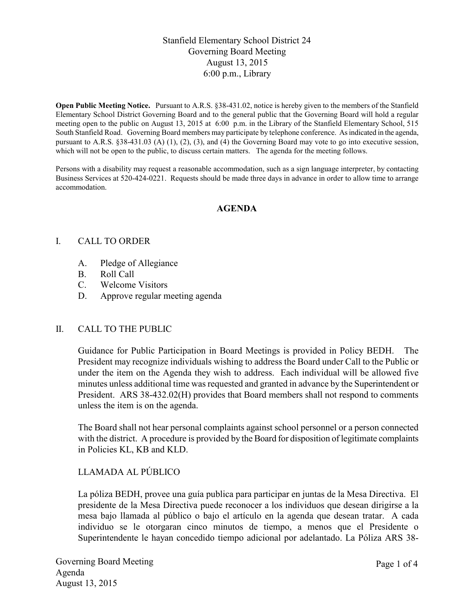# Stanfield Elementary School District 24 Governing Board Meeting August 13, 2015 6:00 p.m., Library

**Open Public Meeting Notice.** Pursuant to A.R.S. §38-431.02, notice is hereby given to the members of the Stanfield Elementary School District Governing Board and to the general public that the Governing Board will hold a regular meeting open to the public on August 13, 2015 at 6:00 p.m. in the Library of the Stanfield Elementary School, 515 South Stanfield Road. Governing Board members may participate by telephone conference. As indicated in the agenda, pursuant to A.R.S. §38-431.03 (A) (1), (2), (3), and (4) the Governing Board may vote to go into executive session, which will not be open to the public, to discuss certain matters. The agenda for the meeting follows.

Persons with a disability may request a reasonable accommodation, such as a sign language interpreter, by contacting Business Services at 520-424-0221. Requests should be made three days in advance in order to allow time to arrange accommodation.

### **AGENDA**

### I. CALL TO ORDER

- A. Pledge of Allegiance
- B. Roll Call
- C. Welcome Visitors
- D. Approve regular meeting agenda

#### II. CALL TO THE PUBLIC

Guidance for Public Participation in Board Meetings is provided in Policy BEDH. The President may recognize individuals wishing to address the Board under Call to the Public or under the item on the Agenda they wish to address. Each individual will be allowed five minutes unless additional time was requested and granted in advance by the Superintendent or President. ARS 38-432.02(H) provides that Board members shall not respond to comments unless the item is on the agenda.

The Board shall not hear personal complaints against school personnel or a person connected with the district. A procedure is provided by the Board for disposition of legitimate complaints in Policies KL, KB and KLD.

# LLAMADA AL PÚBLICO

La póliza BEDH, provee una guía publica para participar en juntas de la Mesa Directiva. El presidente de la Mesa Directiva puede reconocer a los individuos que desean dirigirse a la mesa bajo llamada al público o bajo el artículo en la agenda que desean tratar. A cada individuo se le otorgaran cinco minutos de tiempo, a menos que el Presidente o Superintendente le hayan concedido tiempo adicional por adelantado. La Póliza ARS 38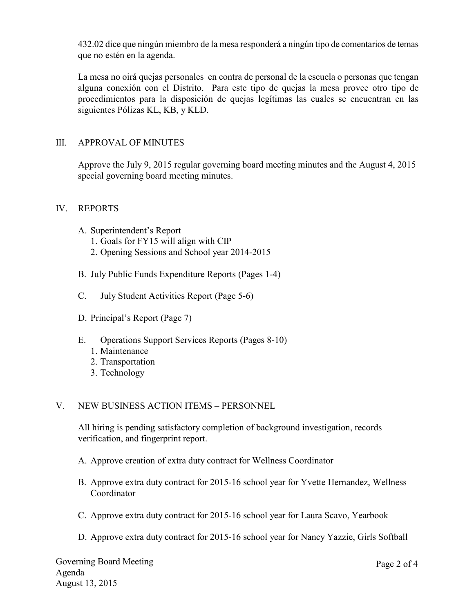432.02 dice que ningún miembro de la mesa responderá a ningún tipo de comentarios de temas que no estén en la agenda.

La mesa no oirá quejas personales en contra de personal de la escuela o personas que tengan alguna conexión con el Distrito. Para este tipo de quejas la mesa provee otro tipo de procedimientos para la disposición de quejas legítimas las cuales se encuentran en las siguientes Pólizas KL, KB, y KLD.

# III. APPROVAL OF MINUTES

Approve the July 9, 2015 regular governing board meeting minutes and the August 4, 2015 special governing board meeting minutes.

## IV. REPORTS

- A. Superintendent's Report
	- 1. Goals for FY15 will align with CIP
	- 2. Opening Sessions and School year 2014-2015
- B. July Public Funds Expenditure Reports (Pages 1-4)
- C. July Student Activities Report (Page 5-6)
- D. Principal's Report (Page 7)
- E. Operations Support Services Reports (Pages 8-10)
	- 1. Maintenance
	- 2. Transportation
	- 3. Technology

## V. NEW BUSINESS ACTION ITEMS – PERSONNEL

All hiring is pending satisfactory completion of background investigation, records verification, and fingerprint report.

- A. Approve creation of extra duty contract for Wellness Coordinator
- B. Approve extra duty contract for 2015-16 school year for Yvette Hernandez, Wellness Coordinator
- C. Approve extra duty contract for 2015-16 school year for Laura Scavo, Yearbook
- D. Approve extra duty contract for 2015-16 school year for Nancy Yazzie, Girls Softball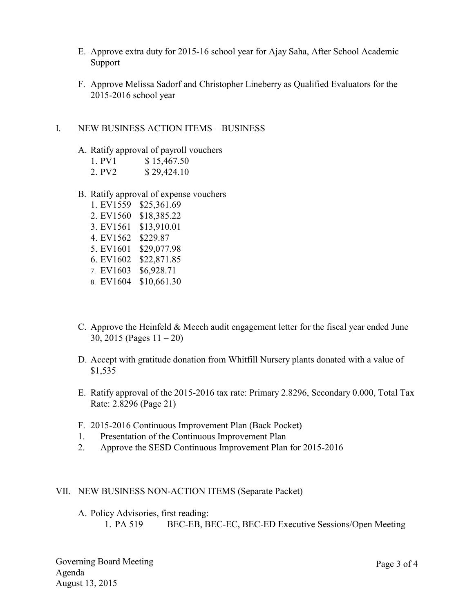- E. Approve extra duty for 2015-16 school year for Ajay Saha, After School Academic Support
- F. Approve Melissa Sadorf and Christopher Lineberry as Qualified Evaluators for the 2015-2016 school year

### I. NEW BUSINESS ACTION ITEMS – BUSINESS

- A. Ratify approval of payroll vouchers
	- 1. PV1 \$ 15,467.50
	- 2. PV2 \$ 29,424.10
- B. Ratify approval of expense vouchers
	- 1. EV1559 \$25,361.69 2. EV1560 \$18,385.22 3. EV1561 \$13,910.01 4. EV1562 \$229.87 5. EV1601 \$29,077.98 6. EV1602 \$22,871.85 7. EV1603 \$6,928.71
	- 8. EV1604 \$10,661.30
- C. Approve the Heinfeld & Meech audit engagement letter for the fiscal year ended June 30, 2015 (Pages 11 – 20)
- D. Accept with gratitude donation from Whitfill Nursery plants donated with a value of \$1,535
- E. Ratify approval of the 2015-2016 tax rate: Primary 2.8296, Secondary 0.000, Total Tax Rate: 2.8296 (Page 21)
- F. 2015-2016 Continuous Improvement Plan (Back Pocket)
- 1. Presentation of the Continuous Improvement Plan
- 2. Approve the SESD Continuous Improvement Plan for 2015-2016

#### VII. NEW BUSINESS NON-ACTION ITEMS (Separate Packet)

A. Policy Advisories, first reading: 1. PA 519 BEC-EB, BEC-EC, BEC-ED Executive Sessions/Open Meeting